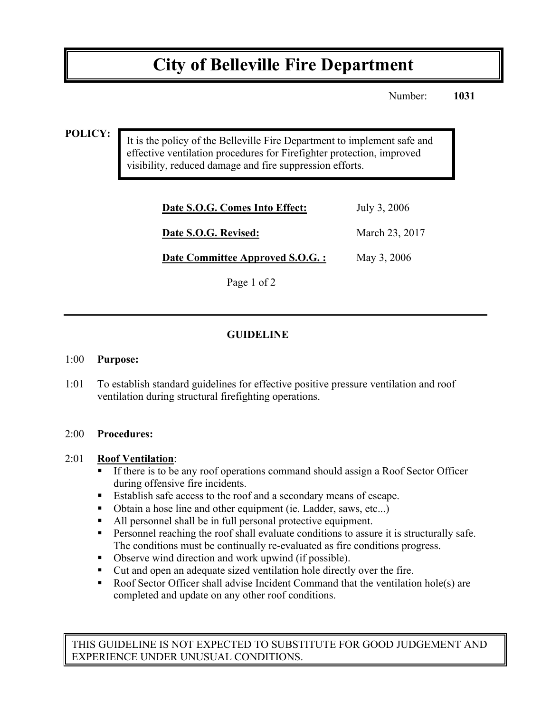# **City of Belleville Fire Department**

Number: **1031**

#### **POLICY:**

It is the policy of the Belleville Fire Department to implement safe and effective ventilation procedures for Firefighter protection, improved visibility, reduced damage and fire suppression efforts.

| July 3, 2006   |
|----------------|
| March 23, 2017 |
| May 3, 2006    |
|                |

Page 1 of 2

## **GUIDELINE**

#### 1:00 **Purpose:**

1:01 To establish standard guidelines for effective positive pressure ventilation and roof ventilation during structural firefighting operations.

#### 2:00 **Procedures:**

#### 2:01 **Roof Ventilation**:

- ! If there is to be any roof operations command should assign a Roof Sector Officer during offensive fire incidents.
- ! Establish safe access to the roof and a secondary means of escape.
- ! Obtain a hose line and other equipment (ie. Ladder, saws, etc...)
- ! All personnel shall be in full personal protective equipment.
- ! Personnel reaching the roof shall evaluate conditions to assure it is structurally safe. The conditions must be continually re-evaluated as fire conditions progress.
- ! Observe wind direction and work upwind (if possible).
- ! Cut and open an adequate sized ventilation hole directly over the fire.
- ! Roof Sector Officer shall advise Incident Command that the ventilation hole(s) are completed and update on any other roof conditions.

THIS GUIDELINE IS NOT EXPECTED TO SUBSTITUTE FOR GOOD JUDGEMENT AND EXPERIENCE UNDER UNUSUAL CONDITIONS.